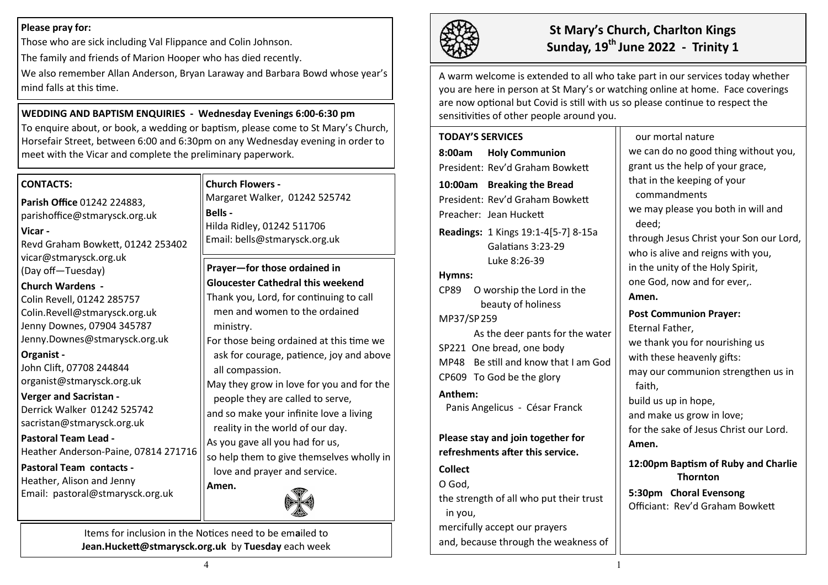#### **Please pray for:**

Those who are sick including Val Flippance and Colin Johnson.

The family and friends of Marion Hooper who has died recently.

We also remember Allan Anderson, Bryan Laraway and Barbara Bowd whose year's mind falls at this time.

### **WEDDING AND BAPTISM ENQUIRIES - Wednesday Evenings 6:00-6:30 pm**

To enquire about, or book, a wedding or baptism, please come to St Mary's Church, Horsefair Street, between 6:00 and 6:30pm on any Wednesday evening in order to meet with the Vicar and complete the preliminary paperwork.

#### **CONTACTS:**

**Parish Office** 01242 224883, parishoffice@stmarysck.org.uk

# **Vicar -**

Revd Graham Bowkett, 01242 253402 vicar@stmarysck.org.uk (Day off—Tuesday)

#### **Church Wardens -**

Colin Revell, 01242 285757 Colin.Revell@stmarysck.org.uk Jenny Downes, 07904 345787 Jenny.Downes@stmarysck.org.uk

#### **Organist -**

John Clift, 07708 244844 organist@stmarysck.org.uk

#### **Verger and Sacristan -**

Derrick Walker 01242 525742 sacristan@stmarysck.org.uk

#### **Pastoral Team Lead -** Heather Anderson-Paine, 07814 271716

**Pastoral Team contacts -**

Heather, Alison and Jenny Email: pastoral@stmarysck.org.uk

#### **Church Flowers -**

Margaret Walker, 01242 525742 **Bells -** Hilda Ridley, 01242 511706 Email: bells@stmarysck.org.uk

**Prayer—for those ordained in Gloucester Cathedral this weekend** Thank you, Lord, for continuing to call men and women to the ordained ministry. For those being ordained at this time we

ask for courage, patience, joy and above all compassion.

May they grow in love for you and for the people they are called to serve, and so make your infinite love a living reality in the world of our day.

As you gave all you had for us,

so help them to give themselves wholly in love and prayer and service.



Items for inclusion in the Notices need to be em**a**iled to **Jean.Huckett@stmarysck.org.uk** by **Tuesday** each week

**Amen.**



# **St Mary's Church, Charlton Kings Sunday, 19th June 2022 - Trinity 1**

A warm welcome is extended to all who take part in our services today whether you are here in person at St Mary's or watching online at home. Face coverings are now optional but Covid is still with us so please continue to respect the sensitivities of other people around you.

# **TODAY'S SERVICES 8:00am Holy Communion** President: Rev'd Graham Bowkett

**10:00am Breaking the Bread**  President: Rev'd Graham Bowkett Preacher: Jean Huckett

**Readings:** 1 Kings 19:1-4[5-7] 8-15a Galatians 3:23-29 Luke 8:26-39

#### **Hymns:**

CP89 O worship the Lord in the beauty of holiness

#### MP37/SP259

As the deer pants for the water SP221 One bread, one body MP48 Be still and know that I am God CP609 To God be the glory

#### **Anthem:**

Panis Angelicus - César Franck

**Please stay and join together for refreshments after this service.**

#### **Collect**

O God,

the strength of all who put their trust in you,

mercifully accept our prayers

and, because through the weakness of

our mortal nature we can do no good thing without you, grant us the help of your grace, that in the keeping of your commandments we may please you both in will and deed; through Jesus Christ your Son our Lord, who is alive and reigns with you, in the unity of the Holy Spirit, one God, now and for ever,. **Amen. Post Communion Prayer:** Eternal Father, we thank you for nourishing us with these heavenly gifts: may our communion strengthen us in faith, build us up in hope, and make us grow in love; for the sake of Jesus Christ our Lord. **Amen. 12:00pm Baptism of Ruby and Charlie Thornton**

**5:30pm Choral Evensong** Officiant: Rev'd Graham Bowkett